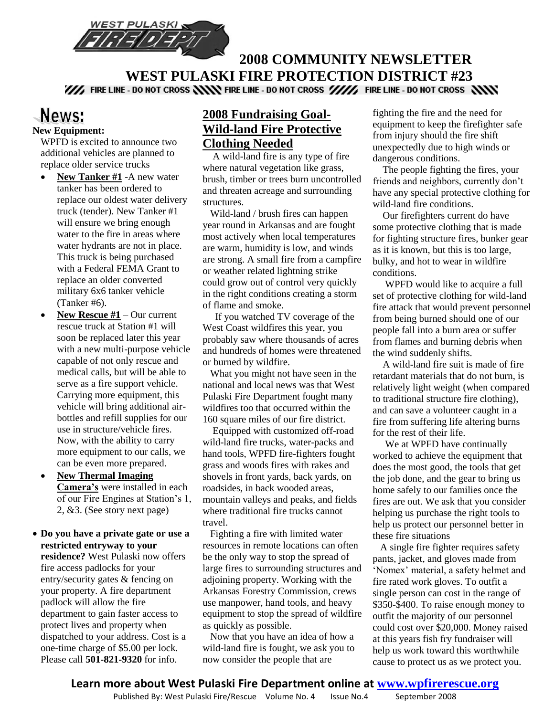

# **2008 COMMUNITY NEWSLETTER WEST PULASKI FIRE PROTECTION DISTRICT #23**<br>We fire line - do not cross **NNN** fire line - do not cross WW, fire line - do not cross NNN

## News: **New Equipment:**

WPFD is excited to announce two additional vehicles are planned to replace older service trucks

- **New Tanker #1** -A new water tanker has been ordered to replace our oldest water delivery truck (tender). New Tanker #1 will ensure we bring enough water to the fire in areas where water hydrants are not in place. This truck is being purchased with a Federal FEMA Grant to replace an older converted military 6x6 tanker vehicle (Tanker #6).
- **New Rescue #1** Our current rescue truck at Station #1 will soon be replaced later this year with a new multi-purpose vehicle capable of not only rescue and medical calls, but will be able to serve as a fire support vehicle. Carrying more equipment, this vehicle will bring additional airbottles and refill supplies for our use in structure/vehicle fires. Now, with the ability to carry more equipment to our calls, we can be even more prepared.
- **New Thermal Imaging Camera's** were installed in each of our Fire Engines at Station's 1, 2, &3. (See story next page)
- **Do you have a private gate or use a restricted entryway to your residence?** West Pulaski now offers fire access padlocks for your entry/security gates & fencing on your property. A fire department padlock will allow the fire department to gain faster access to protect lives and property when dispatched to your address. Cost is a one-time charge of \$5.00 per lock. Please call **501-821-9320** for info.

# **2008 Fundraising Goal-Wild-land Fire Protective Clothing Needed**

 A wild-land fire is any type of fire where natural vegetation like grass, brush, timber or trees burn uncontrolled and threaten acreage and surrounding structures.

 Wild-land / brush fires can happen year round in Arkansas and are fought most actively when local temperatures are warm, humidity is low, and winds are strong. A small fire from a campfire or weather related lightning strike could grow out of control very quickly in the right conditions creating a storm of flame and smoke.

 If you watched TV coverage of the West Coast wildfires this year, you probably saw where thousands of acres and hundreds of homes were threatened or burned by wildfire.

 What you might not have seen in the national and local news was that West Pulaski Fire Department fought many wildfires too that occurred within the 160 square miles of our fire district.

 Equipped with customized off-road wild-land fire trucks, water-packs and hand tools, WPFD fire-fighters fought grass and woods fires with rakes and shovels in front yards, back yards, on roadsides, in back wooded areas, mountain valleys and peaks, and fields where traditional fire trucks cannot travel.

 Fighting a fire with limited water resources in remote locations can often be the only way to stop the spread of large fires to surrounding structures and adjoining property. Working with the Arkansas Forestry Commission, crews use manpower, hand tools, and heavy equipment to stop the spread of wildfire as quickly as possible.

 Now that you have an idea of how a wild-land fire is fought, we ask you to now consider the people that are

fighting the fire and the need for equipment to keep the firefighter safe from injury should the fire shift unexpectedly due to high winds or dangerous conditions.

 The people fighting the fires, your friends and neighbors, currently don't have any special protective clothing for wild-land fire conditions.

 Our firefighters current do have some protective clothing that is made for fighting structure fires, bunker gear as it is known, but this is too large, bulky, and hot to wear in wildfire conditions.

 WPFD would like to acquire a full set of protective clothing for wild-land fire attack that would prevent personnel from being burned should one of our people fall into a burn area or suffer from flames and burning debris when the wind suddenly shifts.

 A wild-land fire suit is made of fire retardant materials that do not burn, is relatively light weight (when compared to traditional structure fire clothing), and can save a volunteer caught in a fire from suffering life altering burns for the rest of their life.

We at WPFD have continually worked to achieve the equipment that does the most good, the tools that get the job done, and the gear to bring us home safely to our families once the fires are out. We ask that you consider helping us purchase the right tools to help us protect our personnel better in these fire situations

 A single fire fighter requires safety pants, jacket, and gloves made from 'Nomex' material, a safety helmet and fire rated work gloves. To outfit a single person can cost in the range of \$350-\$400. To raise enough money to outfit the majority of our personnel could cost over \$20,000. Money raised at this years fish fry fundraiser will help us work toward this worthwhile cause to protect us as we protect you.

Published By: West Pulaski Fire/Rescue Volume No. 4 Issue No. 4